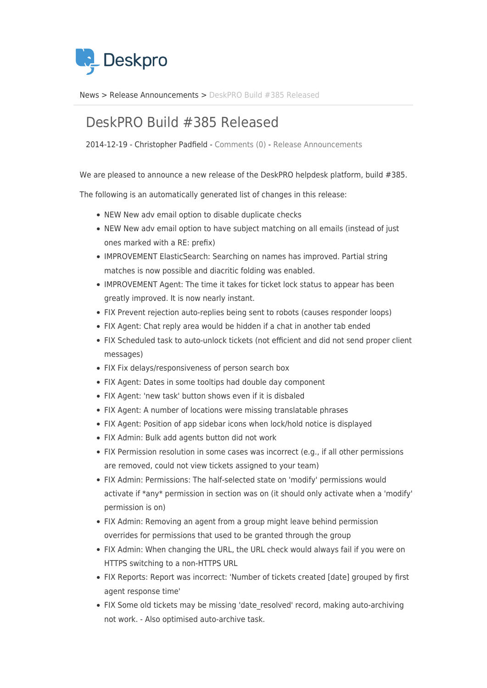

[News](https://support.deskpro.com/sr/news) > [Release Announcements](https://support.deskpro.com/sr/news/release-announcements) > [DeskPRO Build #385 Released](https://support.deskpro.com/sr/news/posts/deskpro-build-385-released)

## DeskPRO Build #385 Released

2014-12-19 - Christopher Padfield - [Comments \(0\)](#page--1-0) - [Release Announcements](https://support.deskpro.com/sr/news/release-announcements)

We are pleased to announce a new release of the DeskPRO helpdesk platform, build #385.

The following is an automatically generated list of changes in this release:

- NEW New adv email option to disable duplicate checks
- NEW New adv email option to have subject matching on all emails (instead of just ones marked with a RE: prefix)
- IMPROVEMENT ElasticSearch: Searching on names has improved. Partial string matches is now possible and diacritic folding was enabled.
- IMPROVEMENT Agent: The time it takes for ticket lock status to appear has been greatly improved. It is now nearly instant.
- FIX Prevent rejection auto-replies being sent to robots (causes responder loops)
- FIX Agent: Chat reply area would be hidden if a chat in another tab ended
- FIX Scheduled task to auto-unlock tickets (not efficient and did not send proper client messages)
- FIX Fix delays/responsiveness of person search box
- FIX Agent: Dates in some tooltips had double day component
- FIX Agent: 'new task' button shows even if it is disbaled
- FIX Agent: A number of locations were missing translatable phrases
- FIX Agent: Position of app sidebar icons when lock/hold notice is displayed
- FIX Admin: Bulk add agents button did not work
- FIX Permission resolution in some cases was incorrect (e.g., if all other permissions are removed, could not view tickets assigned to your team)
- FIX Admin: Permissions: The half-selected state on 'modify' permissions would activate if \*any\* permission in section was on (it should only activate when a 'modify' permission is on)
- FIX Admin: Removing an agent from a group might leave behind permission overrides for permissions that used to be granted through the group
- FIX Admin: When changing the URL, the URL check would always fail if you were on HTTPS switching to a non-HTTPS URL
- FIX Reports: Report was incorrect: 'Number of tickets created [date] grouped by first agent response time'
- FIX Some old tickets may be missing 'date\_resolved' record, making auto-archiving not work. - Also optimised auto-archive task.